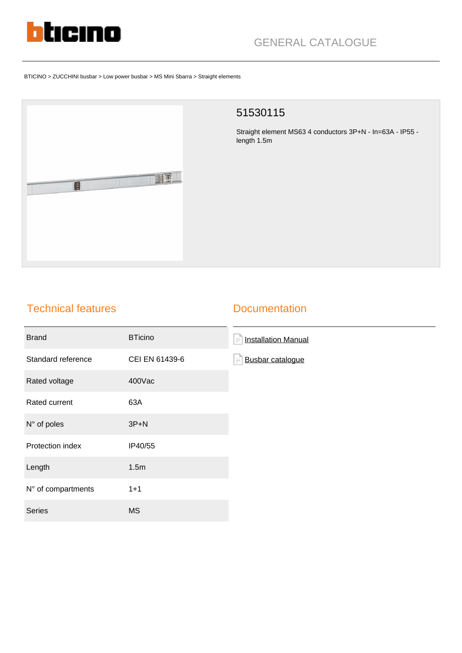

# GENERAL CATALOGUE

#### BTICINO > ZUCCHINI busbar > Low power busbar > MS Mini Sbarra > Straight elements



#### 51530115

Straight element MS63 4 conductors 3P+N - In=63A - IP55 length 1.5m

## Technical features

#### **Documentation**

| <b>Brand</b>       | <b>BTicino</b> | <b>Installation Manual</b><br>$\equiv$ |
|--------------------|----------------|----------------------------------------|
| Standard reference | CEI EN 61439-6 | <b>Busbar catalogue</b>                |
| Rated voltage      | 400Vac         |                                        |
| Rated current      | 63A            |                                        |
| N° of poles        | $3P+N$         |                                        |
| Protection index   | IP40/55        |                                        |
| Length             | 1.5m           |                                        |
| N° of compartments | $1 + 1$        |                                        |
| Series             | <b>MS</b>      |                                        |